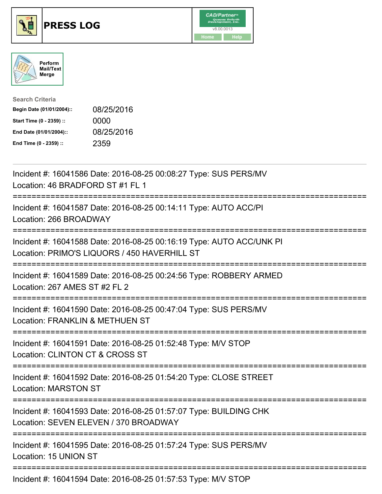





| <b>Search Criteria</b>    |            |
|---------------------------|------------|
| Begin Date (01/01/2004):: | 08/25/2016 |
| Start Time (0 - 2359) ::  | 0000       |
| End Date (01/01/2004)::   | 08/25/2016 |
| End Time (0 - 2359) ::    | 2359       |

| Incident #: 16041586 Date: 2016-08-25 00:08:27 Type: SUS PERS/MV<br>Location: 46 BRADFORD ST #1 FL 1                                                           |  |
|----------------------------------------------------------------------------------------------------------------------------------------------------------------|--|
| Incident #: 16041587 Date: 2016-08-25 00:14:11 Type: AUTO ACC/PI<br>Location: 266 BROADWAY<br>------------                                                     |  |
| Incident #: 16041588 Date: 2016-08-25 00:16:19 Type: AUTO ACC/UNK PI<br>Location: PRIMO'S LIQUORS / 450 HAVERHILL ST                                           |  |
| Incident #: 16041589 Date: 2016-08-25 00:24:56 Type: ROBBERY ARMED<br>Location: 267 AMES ST #2 FL 2<br>==============                                          |  |
| Incident #: 16041590 Date: 2016-08-25 00:47:04 Type: SUS PERS/MV<br>Location: FRANKLIN & METHUEN ST<br>-------------------------<br>-------------              |  |
| Incident #: 16041591 Date: 2016-08-25 01:52:48 Type: M/V STOP<br>Location: CLINTON CT & CROSS ST<br>========================<br>============================== |  |
| Incident #: 16041592 Date: 2016-08-25 01:54:20 Type: CLOSE STREET<br><b>Location: MARSTON ST</b>                                                               |  |
| Incident #: 16041593 Date: 2016-08-25 01:57:07 Type: BUILDING CHK<br>Location: SEVEN ELEVEN / 370 BROADWAY                                                     |  |
| Incident #: 16041595 Date: 2016-08-25 01:57:24 Type: SUS PERS/MV<br>Location: 15 UNION ST                                                                      |  |
| Incident #: 16041594 Date: 2016-08-25 01:57:53 Type: M/V STOP                                                                                                  |  |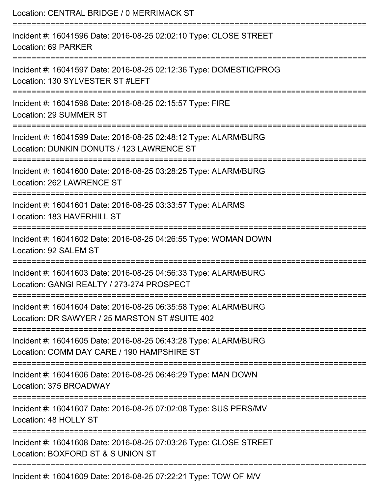| Location: CENTRAL BRIDGE / 0 MERRIMACK ST                                                                                     |
|-------------------------------------------------------------------------------------------------------------------------------|
| Incident #: 16041596 Date: 2016-08-25 02:02:10 Type: CLOSE STREET<br>Location: 69 PARKER                                      |
| Incident #: 16041597 Date: 2016-08-25 02:12:36 Type: DOMESTIC/PROG<br>Location: 130 SYLVESTER ST #LEFT                        |
| Incident #: 16041598 Date: 2016-08-25 02:15:57 Type: FIRE<br>Location: 29 SUMMER ST                                           |
| Incident #: 16041599 Date: 2016-08-25 02:48:12 Type: ALARM/BURG<br>Location: DUNKIN DONUTS / 123 LAWRENCE ST                  |
| Incident #: 16041600 Date: 2016-08-25 03:28:25 Type: ALARM/BURG<br>Location: 262 LAWRENCE ST                                  |
| ;===============================<br>Incident #: 16041601 Date: 2016-08-25 03:33:57 Type: ALARMS<br>Location: 183 HAVERHILL ST |
| ====================<br>Incident #: 16041602 Date: 2016-08-25 04:26:55 Type: WOMAN DOWN<br>Location: 92 SALEM ST              |
| Incident #: 16041603 Date: 2016-08-25 04:56:33 Type: ALARM/BURG<br>Location: GANGI REALTY / 273-274 PROSPECT                  |
| Incident #: 16041604 Date: 2016-08-25 06:35:58 Type: ALARM/BURG<br>Location: DR SAWYER / 25 MARSTON ST #SUITE 402             |
| Incident #: 16041605 Date: 2016-08-25 06:43:28 Type: ALARM/BURG<br>Location: COMM DAY CARE / 190 HAMPSHIRE ST                 |
| Incident #: 16041606 Date: 2016-08-25 06:46:29 Type: MAN DOWN<br>Location: 375 BROADWAY                                       |
| Incident #: 16041607 Date: 2016-08-25 07:02:08 Type: SUS PERS/MV<br>Location: 48 HOLLY ST                                     |
| Incident #: 16041608 Date: 2016-08-25 07:03:26 Type: CLOSE STREET<br>Location: BOXFORD ST & S UNION ST                        |
| Incident #: 16041609 Date: 2016-08-25 07:22:21 Type: TOW OF M/V                                                               |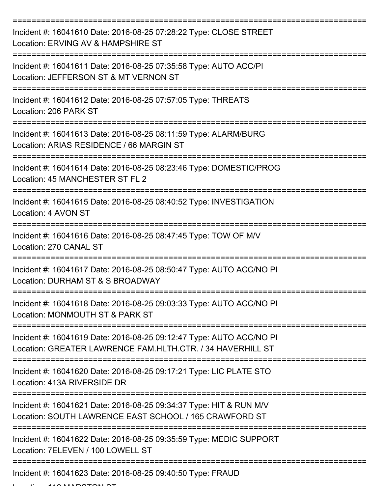| Incident #: 16041610 Date: 2016-08-25 07:28:22 Type: CLOSE STREET<br>Location: ERVING AV & HAMPSHIRE ST                           |
|-----------------------------------------------------------------------------------------------------------------------------------|
| Incident #: 16041611 Date: 2016-08-25 07:35:58 Type: AUTO ACC/PI<br>Location: JEFFERSON ST & MT VERNON ST                         |
| Incident #: 16041612 Date: 2016-08-25 07:57:05 Type: THREATS<br>Location: 206 PARK ST                                             |
| Incident #: 16041613 Date: 2016-08-25 08:11:59 Type: ALARM/BURG<br>Location: ARIAS RESIDENCE / 66 MARGIN ST                       |
| Incident #: 16041614 Date: 2016-08-25 08:23:46 Type: DOMESTIC/PROG<br>Location: 45 MANCHESTER ST FL 2<br>:================        |
| Incident #: 16041615 Date: 2016-08-25 08:40:52 Type: INVESTIGATION<br>Location: 4 AVON ST                                         |
| Incident #: 16041616 Date: 2016-08-25 08:47:45 Type: TOW OF M/V<br>Location: 270 CANAL ST<br>------------------                   |
| Incident #: 16041617 Date: 2016-08-25 08:50:47 Type: AUTO ACC/NO PI<br>Location: DURHAM ST & S BROADWAY                           |
| Incident #: 16041618 Date: 2016-08-25 09:03:33 Type: AUTO ACC/NO PI<br>Location: MONMOUTH ST & PARK ST                            |
| Incident #: 16041619 Date: 2016-08-25 09:12:47 Type: AUTO ACC/NO PI<br>Location: GREATER LAWRENCE FAM.HLTH.CTR. / 34 HAVERHILL ST |
| Incident #: 16041620 Date: 2016-08-25 09:17:21 Type: LIC PLATE STO<br>Location: 413A RIVERSIDE DR<br>==========================   |
| Incident #: 16041621 Date: 2016-08-25 09:34:37 Type: HIT & RUN M/V<br>Location: SOUTH LAWRENCE EAST SCHOOL / 165 CRAWFORD ST      |
| Incident #: 16041622 Date: 2016-08-25 09:35:59 Type: MEDIC SUPPORT<br>Location: 7ELEVEN / 100 LOWELL ST                           |
| Incident #: 16041623 Date: 2016-08-25 09:40:50 Type: FRAUD<br>1401100T                                                            |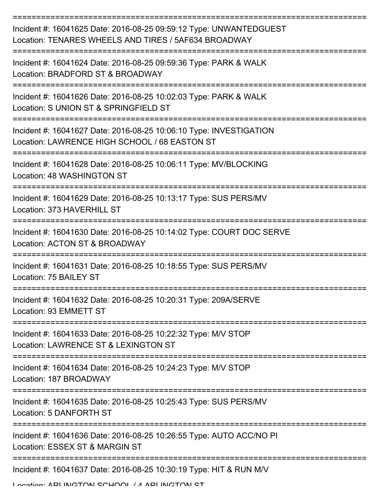| Incident #: 16041625 Date: 2016-08-25 09:59:12 Type: UNWANTEDGUEST<br>Location: TENARES WHEELS AND TIRES / 5AF634 BROADWAY            |
|---------------------------------------------------------------------------------------------------------------------------------------|
| Incident #: 16041624 Date: 2016-08-25 09:59:36 Type: PARK & WALK<br>Location: BRADFORD ST & BROADWAY                                  |
| Incident #: 16041626 Date: 2016-08-25 10:02:03 Type: PARK & WALK<br>Location: S UNION ST & SPRINGFIELD ST                             |
| Incident #: 16041627 Date: 2016-08-25 10:06:10 Type: INVESTIGATION<br>Location: LAWRENCE HIGH SCHOOL / 68 EASTON ST                   |
| Incident #: 16041628 Date: 2016-08-25 10:06:11 Type: MV/BLOCKING<br>Location: 48 WASHINGTON ST                                        |
| Incident #: 16041629 Date: 2016-08-25 10:13:17 Type: SUS PERS/MV<br>Location: 373 HAVERHILL ST                                        |
| Incident #: 16041630 Date: 2016-08-25 10:14:02 Type: COURT DOC SERVE<br>Location: ACTON ST & BROADWAY                                 |
| Incident #: 16041631 Date: 2016-08-25 10:18:55 Type: SUS PERS/MV<br>Location: 75 BAILEY ST                                            |
| Incident #: 16041632 Date: 2016-08-25 10:20:31 Type: 209A/SERVE<br>Location: 93 EMMETT ST<br>================                         |
| Incident #: 16041633 Date: 2016-08-25 10:22:32 Type: M/V STOP<br>Location: LAWRENCE ST & LEXINGTON ST                                 |
| Incident #: 16041634 Date: 2016-08-25 10:24:23 Type: M/V STOP<br>Location: 187 BROADWAY                                               |
| :=====================================<br>Incident #: 16041635 Date: 2016-08-25 10:25:43 Type: SUS PERS/MV<br>Location: 5 DANFORTH ST |
| Incident #: 16041636 Date: 2016-08-25 10:26:55 Type: AUTO ACC/NO PI<br>Location: ESSEX ST & MARGIN ST                                 |
| Incident #: 16041637 Date: 2016-08-25 10:30:19 Type: HIT & RUN M/V                                                                    |

Location: ADI INICTON SCHOOL / 4 ARLINICTON ST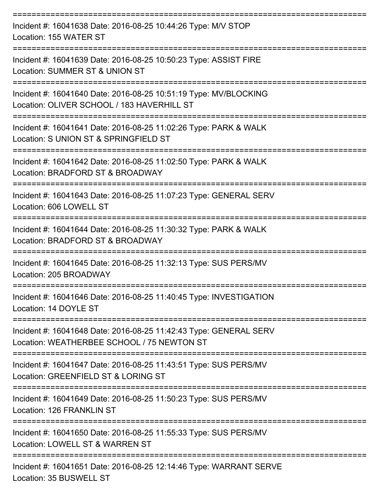| Incident #: 16041638 Date: 2016-08-25 10:44:26 Type: M/V STOP<br>Location: 155 WATER ST                         |
|-----------------------------------------------------------------------------------------------------------------|
| Incident #: 16041639 Date: 2016-08-25 10:50:23 Type: ASSIST FIRE<br>Location: SUMMER ST & UNION ST              |
| Incident #: 16041640 Date: 2016-08-25 10:51:19 Type: MV/BLOCKING<br>Location: OLIVER SCHOOL / 183 HAVERHILL ST  |
| Incident #: 16041641 Date: 2016-08-25 11:02:26 Type: PARK & WALK<br>Location: S UNION ST & SPRINGFIELD ST       |
| Incident #: 16041642 Date: 2016-08-25 11:02:50 Type: PARK & WALK<br>Location: BRADFORD ST & BROADWAY            |
| Incident #: 16041643 Date: 2016-08-25 11:07:23 Type: GENERAL SERV<br>Location: 606 LOWELL ST                    |
| Incident #: 16041644 Date: 2016-08-25 11:30:32 Type: PARK & WALK<br>Location: BRADFORD ST & BROADWAY            |
| Incident #: 16041645 Date: 2016-08-25 11:32:13 Type: SUS PERS/MV<br>Location: 205 BROADWAY                      |
| Incident #: 16041646 Date: 2016-08-25 11:40:45 Type: INVESTIGATION<br>Location: 14 DOYLE ST                     |
| Incident #: 16041648 Date: 2016-08-25 11:42:43 Type: GENERAL SERV<br>Location: WEATHERBEE SCHOOL / 75 NEWTON ST |
| Incident #: 16041647 Date: 2016-08-25 11:43:51 Type: SUS PERS/MV<br>Location: GREENFIELD ST & LORING ST         |
| Incident #: 16041649 Date: 2016-08-25 11:50:23 Type: SUS PERS/MV<br>Location: 126 FRANKLIN ST                   |
| Incident #: 16041650 Date: 2016-08-25 11:55:33 Type: SUS PERS/MV<br>Location: LOWELL ST & WARREN ST             |
| Incident #: 16041651 Date: 2016-08-25 12:14:46 Type: WARRANT SERVE<br>Location: 35 BUSWELL ST                   |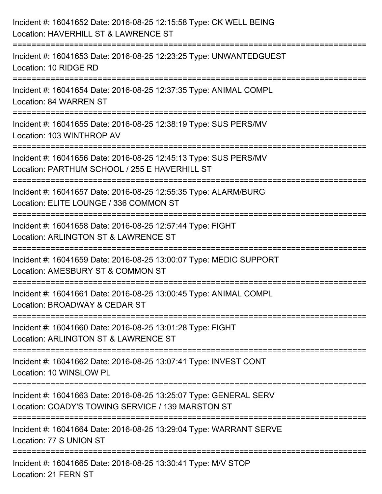| Incident #: 16041652 Date: 2016-08-25 12:15:58 Type: CK WELL BEING<br>Location: HAVERHILL ST & LAWRENCE ST                  |
|-----------------------------------------------------------------------------------------------------------------------------|
| Incident #: 16041653 Date: 2016-08-25 12:23:25 Type: UNWANTEDGUEST<br>Location: 10 RIDGE RD                                 |
| ============<br>Incident #: 16041654 Date: 2016-08-25 12:37:35 Type: ANIMAL COMPL<br>Location: 84 WARREN ST                 |
| Incident #: 16041655 Date: 2016-08-25 12:38:19 Type: SUS PERS/MV<br>Location: 103 WINTHROP AV                               |
| Incident #: 16041656 Date: 2016-08-25 12:45:13 Type: SUS PERS/MV<br>Location: PARTHUM SCHOOL / 255 E HAVERHILL ST           |
| Incident #: 16041657 Date: 2016-08-25 12:55:35 Type: ALARM/BURG<br>Location: ELITE LOUNGE / 336 COMMON ST                   |
| ---------------------<br>Incident #: 16041658 Date: 2016-08-25 12:57:44 Type: FIGHT<br>Location: ARLINGTON ST & LAWRENCE ST |
| Incident #: 16041659 Date: 2016-08-25 13:00:07 Type: MEDIC SUPPORT<br>Location: AMESBURY ST & COMMON ST                     |
| Incident #: 16041661 Date: 2016-08-25 13:00:45 Type: ANIMAL COMPL<br>Location: BROADWAY & CEDAR ST                          |
| Incident #: 16041660 Date: 2016-08-25 13:01:28 Type: FIGHT<br>Location: ARLINGTON ST & LAWRENCE ST                          |
| Incident #: 16041662 Date: 2016-08-25 13:07:41 Type: INVEST CONT<br>Location: 10 WINSLOW PL                                 |
| Incident #: 16041663 Date: 2016-08-25 13:25:07 Type: GENERAL SERV<br>Location: COADY'S TOWING SERVICE / 139 MARSTON ST      |
| Incident #: 16041664 Date: 2016-08-25 13:29:04 Type: WARRANT SERVE<br>Location: 77 S UNION ST                               |
| Incident #: 16041665 Date: 2016-08-25 13:30:41 Type: M/V STOP<br>Location: 21 FERN ST                                       |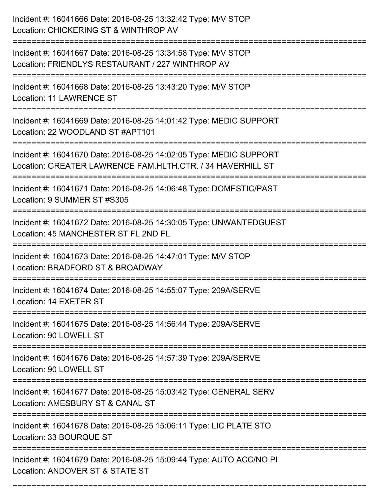| Incident #: 16041666 Date: 2016-08-25 13:32:42 Type: M/V STOP<br>Location: CHICKERING ST & WINTHROP AV                           |
|----------------------------------------------------------------------------------------------------------------------------------|
| Incident #: 16041667 Date: 2016-08-25 13:34:58 Type: M/V STOP<br>Location: FRIENDLYS RESTAURANT / 227 WINTHROP AV                |
| Incident #: 16041668 Date: 2016-08-25 13:43:20 Type: M/V STOP<br><b>Location: 11 LAWRENCE ST</b>                                 |
| Incident #: 16041669 Date: 2016-08-25 14:01:42 Type: MEDIC SUPPORT<br>Location: 22 WOODLAND ST #APT101                           |
| Incident #: 16041670 Date: 2016-08-25 14:02:05 Type: MEDIC SUPPORT<br>Location: GREATER LAWRENCE FAM.HLTH.CTR. / 34 HAVERHILL ST |
| Incident #: 16041671 Date: 2016-08-25 14:06:48 Type: DOMESTIC/PAST<br>Location: 9 SUMMER ST #S305                                |
| Incident #: 16041672 Date: 2016-08-25 14:30:05 Type: UNWANTEDGUEST<br>Location: 45 MANCHESTER ST FL 2ND FL                       |
| Incident #: 16041673 Date: 2016-08-25 14:47:01 Type: M/V STOP<br>Location: BRADFORD ST & BROADWAY                                |
| Incident #: 16041674 Date: 2016-08-25 14:55:07 Type: 209A/SERVE<br>Location: 14 EXETER ST                                        |
| Incident #: 16041675 Date: 2016-08-25 14:56:44 Type: 209A/SERVE<br>Location: 90 LOWELL ST                                        |
| Incident #: 16041676 Date: 2016-08-25 14:57:39 Type: 209A/SERVE<br>Location: 90 LOWELL ST                                        |
| Incident #: 16041677 Date: 2016-08-25 15:03:42 Type: GENERAL SERV<br>Location: AMESBURY ST & CANAL ST                            |
| Incident #: 16041678 Date: 2016-08-25 15:06:11 Type: LIC PLATE STO<br>Location: 33 BOURQUE ST                                    |
| Incident #: 16041679 Date: 2016-08-25 15:09:44 Type: AUTO ACC/NO PI<br>Location: ANDOVER ST & STATE ST                           |

===========================================================================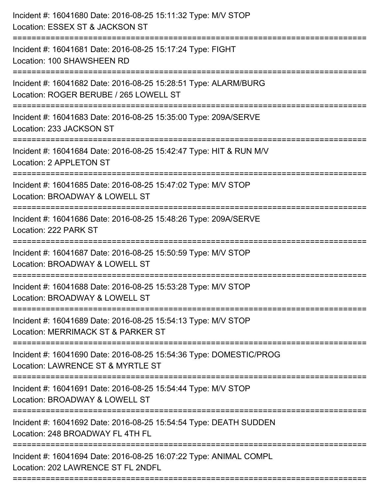| Incident #: 16041680 Date: 2016-08-25 15:11:32 Type: M/V STOP<br>Location: ESSEX ST & JACKSON ST<br>-------------------------         |
|---------------------------------------------------------------------------------------------------------------------------------------|
| Incident #: 16041681 Date: 2016-08-25 15:17:24 Type: FIGHT<br>Location: 100 SHAWSHEEN RD                                              |
| Incident #: 16041682 Date: 2016-08-25 15:28:51 Type: ALARM/BURG<br>Location: ROGER BERUBE / 265 LOWELL ST<br>:======================= |
| Incident #: 16041683 Date: 2016-08-25 15:35:00 Type: 209A/SERVE<br>Location: 233 JACKSON ST                                           |
| Incident #: 16041684 Date: 2016-08-25 15:42:47 Type: HIT & RUN M/V<br>Location: 2 APPLETON ST                                         |
| Incident #: 16041685 Date: 2016-08-25 15:47:02 Type: M/V STOP<br>Location: BROADWAY & LOWELL ST                                       |
| Incident #: 16041686 Date: 2016-08-25 15:48:26 Type: 209A/SERVE<br>Location: 222 PARK ST                                              |
| Incident #: 16041687 Date: 2016-08-25 15:50:59 Type: M/V STOP<br>Location: BROADWAY & LOWELL ST                                       |
| Incident #: 16041688 Date: 2016-08-25 15:53:28 Type: M/V STOP<br>Location: BROADWAY & LOWELL ST                                       |
| Incident #: 16041689 Date: 2016-08-25 15:54:13 Type: M/V STOP<br>Location: MERRIMACK ST & PARKER ST                                   |
| Incident #: 16041690 Date: 2016-08-25 15:54:36 Type: DOMESTIC/PROG<br>Location: LAWRENCE ST & MYRTLE ST                               |
| Incident #: 16041691 Date: 2016-08-25 15:54:44 Type: M/V STOP<br>Location: BROADWAY & LOWELL ST                                       |
| Incident #: 16041692 Date: 2016-08-25 15:54:54 Type: DEATH SUDDEN<br>Location: 248 BROADWAY FL 4TH FL                                 |
| Incident #: 16041694 Date: 2016-08-25 16:07:22 Type: ANIMAL COMPL<br>Location: 202 LAWRENCE ST FL 2NDFL                               |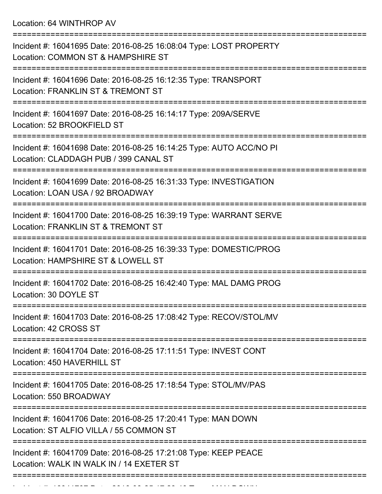Location: 64 WINTHROP AV

| Incident #: 16041695 Date: 2016-08-25 16:08:04 Type: LOST PROPERTY<br>Location: COMMON ST & HAMPSHIRE ST               |
|------------------------------------------------------------------------------------------------------------------------|
| Incident #: 16041696 Date: 2016-08-25 16:12:35 Type: TRANSPORT<br>Location: FRANKLIN ST & TREMONT ST                   |
| Incident #: 16041697 Date: 2016-08-25 16:14:17 Type: 209A/SERVE<br>Location: 52 BROOKFIELD ST                          |
| Incident #: 16041698 Date: 2016-08-25 16:14:25 Type: AUTO ACC/NO PI<br>Location: CLADDAGH PUB / 399 CANAL ST           |
| Incident #: 16041699 Date: 2016-08-25 16:31:33 Type: INVESTIGATION<br>Location: LOAN USA / 92 BROADWAY                 |
| Incident #: 16041700 Date: 2016-08-25 16:39:19 Type: WARRANT SERVE<br>Location: FRANKLIN ST & TREMONT ST               |
| Incident #: 16041701 Date: 2016-08-25 16:39:33 Type: DOMESTIC/PROG<br>Location: HAMPSHIRE ST & LOWELL ST               |
| Incident #: 16041702 Date: 2016-08-25 16:42:40 Type: MAL DAMG PROG<br>Location: 30 DOYLE ST                            |
| Incident #: 16041703 Date: 2016-08-25 17:08:42 Type: RECOV/STOL/MV<br>Location: 42 CROSS ST                            |
| ====================<br>Incident #: 16041704 Date: 2016-08-25 17:11:51 Type: INVEST CONT<br>Location: 450 HAVERHILL ST |
| Incident #: 16041705 Date: 2016-08-25 17:18:54 Type: STOL/MV/PAS<br>Location: 550 BROADWAY                             |
| Incident #: 16041706 Date: 2016-08-25 17:20:41 Type: MAN DOWN<br>Location: ST ALFIO VILLA / 55 COMMON ST               |
| Incident #: 16041709 Date: 2016-08-25 17:21:08 Type: KEEP PEACE<br>Location: WALK IN WALK IN / 14 EXETER ST            |
|                                                                                                                        |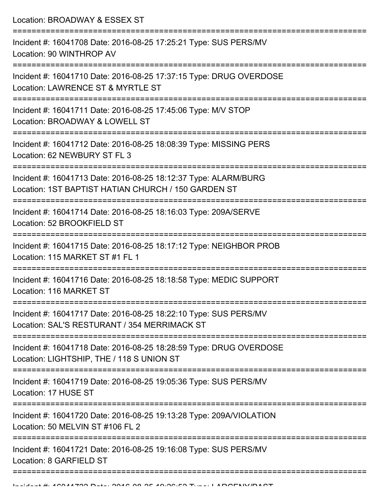Location: BROADWAY & ESSEX ST =========================================================================== Incident #: 16041708 Date: 2016-08-25 17:25:21 Type: SUS PERS/MV Location: 90 WINTHROP AV =========================================================================== Incident #: 16041710 Date: 2016-08-25 17:37:15 Type: DRUG OVERDOSE Location: LAWRENCE ST & MYRTLE ST =========================================================================== Incident #: 16041711 Date: 2016-08-25 17:45:06 Type: M/V STOP Location: BROADWAY & LOWELL ST =========================================================================== Incident #: 16041712 Date: 2016-08-25 18:08:39 Type: MISSING PERS Location: 62 NEWBURY ST FL 3 =========================================================================== Incident #: 16041713 Date: 2016-08-25 18:12:37 Type: ALARM/BURG Location: 1ST BAPTIST HATIAN CHURCH / 150 GARDEN ST =========================================================================== Incident #: 16041714 Date: 2016-08-25 18:16:03 Type: 209A/SERVE Location: 52 BROOKFIELD ST =========================================================================== Incident #: 16041715 Date: 2016-08-25 18:17:12 Type: NEIGHBOR PROB Location: 115 MARKET ST #1 FL 1 =========================================================================== Incident #: 16041716 Date: 2016-08-25 18:18:58 Type: MEDIC SUPPORT Location: 116 MARKET ST =========================================================================== Incident #: 16041717 Date: 2016-08-25 18:22:10 Type: SUS PERS/MV Location: SAL'S RESTURANT / 354 MERRIMACK ST =========================================================================== Incident #: 16041718 Date: 2016-08-25 18:28:59 Type: DRUG OVERDOSE Location: LIGHTSHIP, THE / 118 S UNION ST =========================================================================== Incident #: 16041719 Date: 2016-08-25 19:05:36 Type: SUS PERS/MV Location: 17 HUSE ST =========================================================================== Incident #: 16041720 Date: 2016-08-25 19:13:28 Type: 209A/VIOLATION Location: 50 MFLVIN ST #106 FL 2 =========================================================================== Incident #: 16041721 Date: 2016-08-25 19:16:08 Type: SUS PERS/MV Location: 8 GARFIELD ST

===========================================================================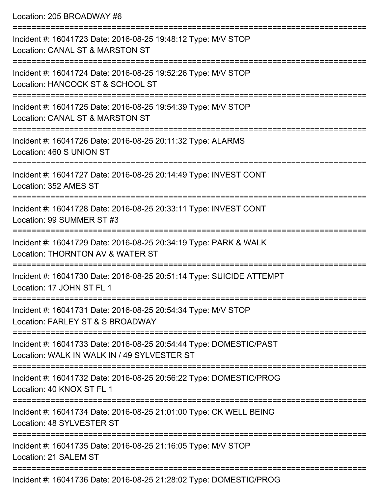Location: 205 BROADWAY #6 =========================================================================== Incident #: 16041723 Date: 2016-08-25 19:48:12 Type: M/V STOP Location: CANAL ST & MARSTON ST =========================================================================== Incident #: 16041724 Date: 2016-08-25 19:52:26 Type: M/V STOP Location: HANCOCK ST & SCHOOL ST =========================================================================== Incident #: 16041725 Date: 2016-08-25 19:54:39 Type: M/V STOP Location: CANAL ST & MARSTON ST =========================================================================== Incident #: 16041726 Date: 2016-08-25 20:11:32 Type: ALARMS Location: 460 S UNION ST =========================================================================== Incident #: 16041727 Date: 2016-08-25 20:14:49 Type: INVEST CONT Location: 352 AMES ST =========================================================================== Incident #: 16041728 Date: 2016-08-25 20:33:11 Type: INVEST CONT Location: 99 SUMMER ST #3 =========================================================================== Incident #: 16041729 Date: 2016-08-25 20:34:19 Type: PARK & WALK Location: THORNTON AV & WATER ST =========================================================================== Incident #: 16041730 Date: 2016-08-25 20:51:14 Type: SUICIDE ATTEMPT Location: 17 JOHN ST FL 1 =========================================================================== Incident #: 16041731 Date: 2016-08-25 20:54:34 Type: M/V STOP Location: FARLEY ST & S BROADWAY =========================================================================== Incident #: 16041733 Date: 2016-08-25 20:54:44 Type: DOMESTIC/PAST Location: WALK IN WALK IN / 49 SYLVESTER ST =========================================================================== Incident #: 16041732 Date: 2016-08-25 20:56:22 Type: DOMESTIC/PROG Location: 40 KNOX ST FL 1 =========================================================================== Incident #: 16041734 Date: 2016-08-25 21:01:00 Type: CK WELL BEING Location: 48 SYLVESTER ST =========================================================================== Incident #: 16041735 Date: 2016-08-25 21:16:05 Type: M/V STOP Location: 21 SALEM ST

Incident #: 16041736 Date: 2016-08-25 21:28:02 Type: DOMESTIC/PROG

===========================================================================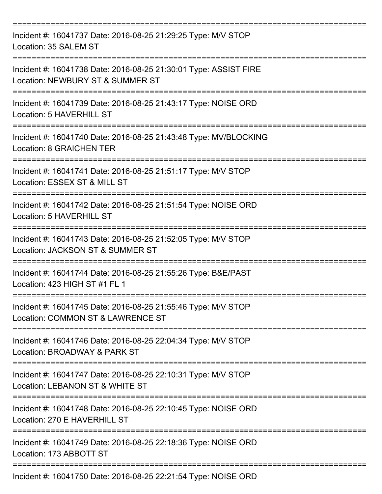| Incident #: 16041737 Date: 2016-08-25 21:29:25 Type: M/V STOP<br>Location: 35 SALEM ST               |
|------------------------------------------------------------------------------------------------------|
| Incident #: 16041738 Date: 2016-08-25 21:30:01 Type: ASSIST FIRE<br>Location: NEWBURY ST & SUMMER ST |
| Incident #: 16041739 Date: 2016-08-25 21:43:17 Type: NOISE ORD<br>Location: 5 HAVERHILL ST           |
| Incident #: 16041740 Date: 2016-08-25 21:43:48 Type: MV/BLOCKING<br>Location: 8 GRAICHEN TER         |
| Incident #: 16041741 Date: 2016-08-25 21:51:17 Type: M/V STOP<br>Location: ESSEX ST & MILL ST        |
| Incident #: 16041742 Date: 2016-08-25 21:51:54 Type: NOISE ORD<br>Location: 5 HAVERHILL ST           |
| Incident #: 16041743 Date: 2016-08-25 21:52:05 Type: M/V STOP<br>Location: JACKSON ST & SUMMER ST    |
| Incident #: 16041744 Date: 2016-08-25 21:55:26 Type: B&E/PAST<br>Location: 423 HIGH ST #1 FL 1       |
| Incident #: 16041745 Date: 2016-08-25 21:55:46 Type: M/V STOP<br>Location: COMMON ST & LAWRENCE ST   |
| Incident #: 16041746 Date: 2016-08-25 22:04:34 Type: M/V STOP<br>Location: BROADWAY & PARK ST        |
| Incident #: 16041747 Date: 2016-08-25 22:10:31 Type: M/V STOP<br>Location: LEBANON ST & WHITE ST     |
| Incident #: 16041748 Date: 2016-08-25 22:10:45 Type: NOISE ORD<br>Location: 270 E HAVERHILL ST       |
| Incident #: 16041749 Date: 2016-08-25 22:18:36 Type: NOISE ORD<br>Location: 173 ABBOTT ST            |
| Incident #: 16041750 Date: 2016-08-25 22:21:54 Type: NOISE ORD                                       |